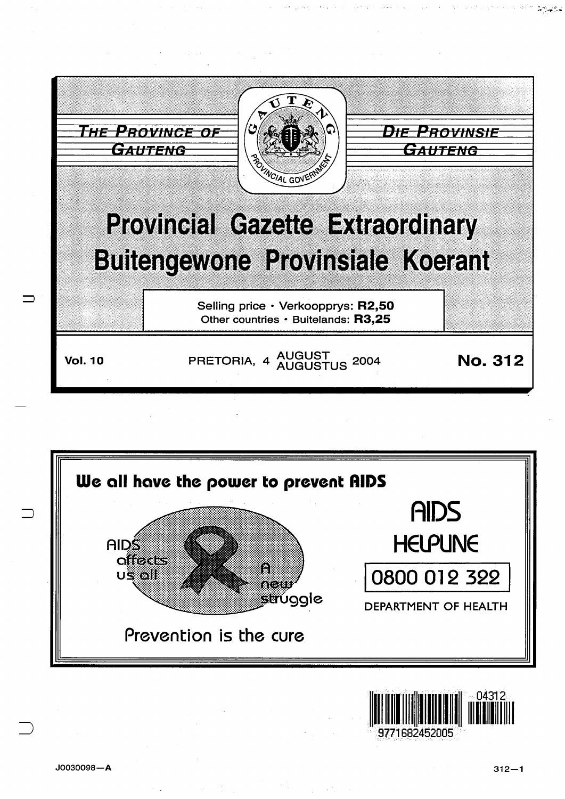



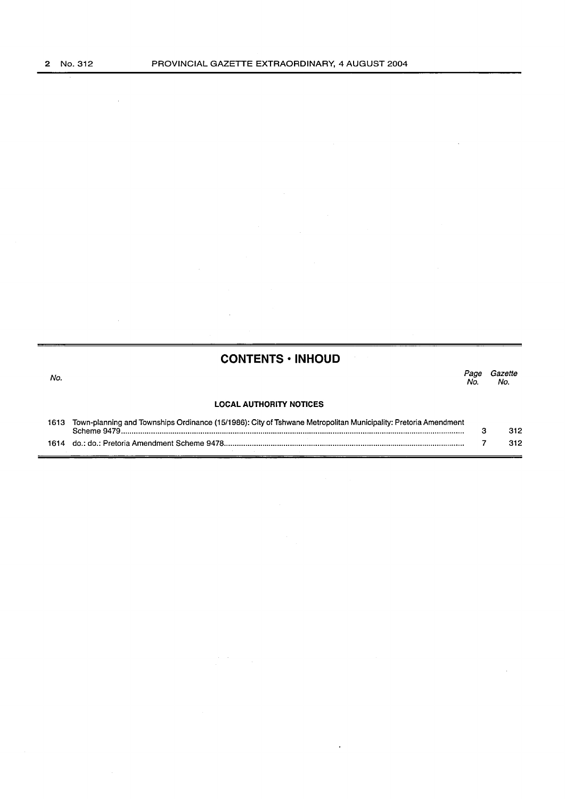$\mathcal{A}^{\mathcal{A}}$ 

 $\bar{z}$ 

 $\bar{z}$ 

 $\ddot{\phantom{a}}$ 

# **CONTENTS • INHOUD**

 $\bar{z}$ 

| No. |                                                                                                                                     | Page<br>No. | Gazette<br>No. |
|-----|-------------------------------------------------------------------------------------------------------------------------------------|-------------|----------------|
|     | <b>LOCAL AUTHORITY NOTICES</b>                                                                                                      |             |                |
|     | 1613 Town-planning and Townships Ordinance (15/1986): City of Tshwane Metropolitan Municipality: Pretoria Amendment<br>Scheme 9479. |             | 312            |
|     |                                                                                                                                     |             | 312            |

 $\frac{1}{2} \sum_{i=1}^n \frac{1}{2} \sum_{j=1}^n \frac{1}{2} \sum_{j=1}^n \frac{1}{2} \sum_{j=1}^n \frac{1}{2} \sum_{j=1}^n \frac{1}{2} \sum_{j=1}^n \frac{1}{2} \sum_{j=1}^n \frac{1}{2} \sum_{j=1}^n \frac{1}{2} \sum_{j=1}^n \frac{1}{2} \sum_{j=1}^n \frac{1}{2} \sum_{j=1}^n \frac{1}{2} \sum_{j=1}^n \frac{1}{2} \sum_{j=1}^n \frac{1}{2} \sum_{j=$ 

 $\ddot{\phantom{0}}$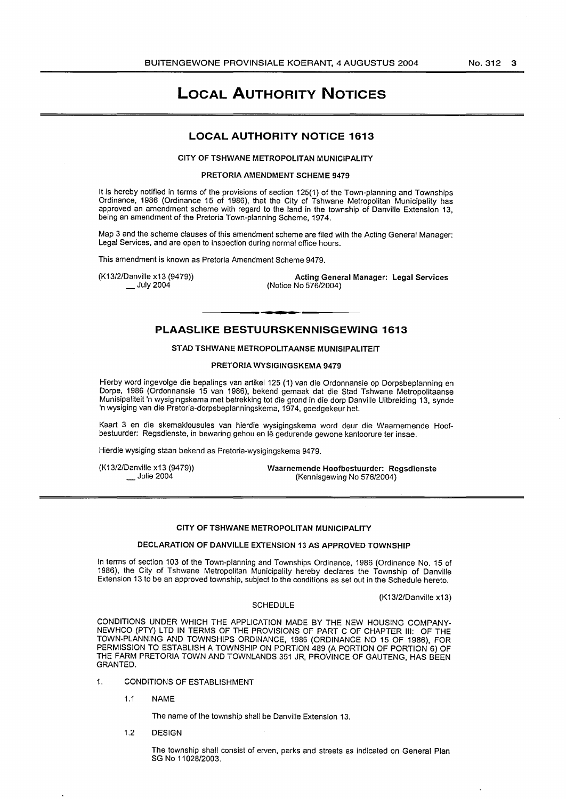# **LOCAL AUTHORITY NOTICES**

# **LOCAL AUTHORITY NOTICE 1613**

#### CITY OF TSHWANE METROPOLITAN MUNICIPALITY

#### PRETORIA AMENDMENT SCHEME 9479

It is hereby notified in terms of the provisions of section 125(1) of the Town-planning and Townships Ordinance, 1986 (Ordinance 15 of 1986), that the City of Tshwane Metropolitan Municipality has approved an amendment scheme with regard to the land in the township of Danville Extension 13, being an amendment of the Pretoria Town-planning Scheme, 1974.

Map 3 and the scheme clauses of this amendment scheme are filed with the Acting General Manager: Legal Services, and are open to inspection during normal office hours.

This amendment is known as Pretoria Amendment Scheme 9479.

(K13/2/Danville x13 (9479))  $\_$  July 2004

Acting General Manager: Legal Services (Notice No 576/2004)

# **PLAASLIKE BESTUURSKENNISGEWING 1613**

#### STAD TSHWANE METROPOLITAANSE MUNISIPALITEIT

#### PRETORIA WYSIGINGSKEMA 9479

Hierby word ingevolge die bepalings van artikel 125 (1) van die Ordonnansie op Dorpsbeplanning en Dorpe, 1986 (Ordonnansie 15 van 1986), bekend gemaak dat die Stad Tshwane Metropolitaanse Munisipaliteit 'n wysigingskema met betrekking tot die grond in die dorp Danville Uitbreiding 13, synde 'n wysiging van die Pretoria-dorpsbeplanningskema, 1974, goedgekeur het.

Kaart 3 en die skemaklousules van hierdie wysigingskema word deur die Waarnemende Hoofbestuurder: Regsdienste, in bewaring gehou en lê gedurende gewone kantoorure ter insae.

Hierdie wysiging staan bekend as Pretoria-wysigingskema 9479.

(K13/2/Danville x13 (9479)) Julie 2004

Waarnemende Hoofbestuurder: Regsdienste (Kennisgewing No 576/2004)

#### CITY OF TSHWANE METROPOLITAN MUNICIPALITY

# DECLARATION OF DANVILLE EXTENSION 13 AS APPROVED TOWNSHIP

In terms of section 103 of the Town-planning and Townships Ordinance, 1986 (Ordinance No. 15 of 1 986), the City of Tshwane Metropolitan Municipality hereby declares the Township of Danville Extension 13 to be an approved township, subject to the conditions as set out in the Schedule hereto.

(K13/2/Danville x13)

#### SCHEDULE

CONDITIONS UNDER WHICH THE APPLICATION MADE BY THE NEW HOUSING COMPANY-NEWHCO (PTY) LTD IN TERMS OF THE PROVISIONS OF PART C OF CHAPTER Ill: OF THE TOWN-PLANNING AND TOWNSHIPS ORDINANCE, 1986 (ORDINANCE NO 15 OF 1986), FOR PERMISSION TO ESTABLISH A TOWNSHIP ON PORTION 489 (A PORTION OF PORTION 6) OF THE FARM PRETORIA TOWN AND TOWNLANDS 351 JR, PROVINCE OF GAUTENG, HAS BEEN GRANTED.

- 1. CONDITIONS OF ESTABLISHMENT
	- 1.1 NAME

The name of the township shall be Danville Extension 13.

1.2 DESIGN

The township shall consist of erven, parks and streets as indicated on General Plan SG No 11028/2003.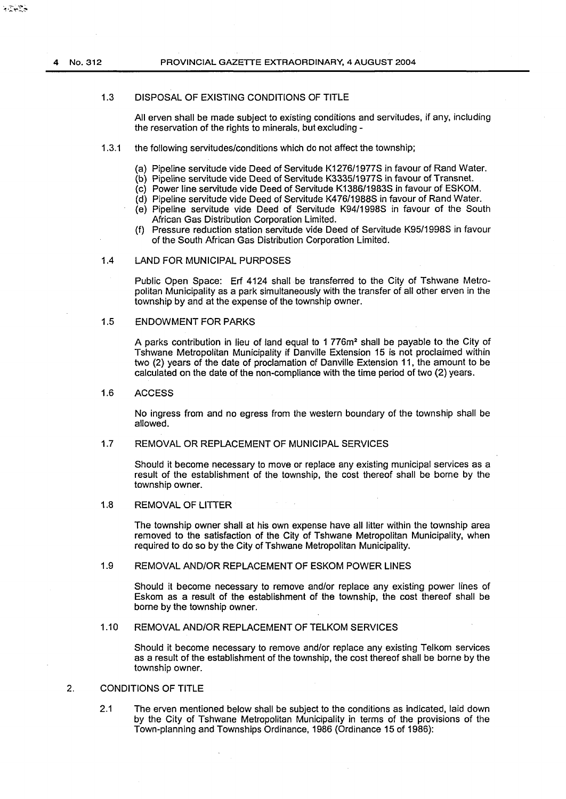$\mathcal{L} = \sum_{i=1}^n \mathcal{L}_i \mathcal{L}_i$ 

#### 1.3 DISPOSAL OF EXISTING CONDITIONS OF TITLE

All erven shall be made subject to existing conditions and servitudes, if any, including the reservation of the rights to minerals, but excluding -

# 1.3.1 the following servitudes/conditions which do not affect the township;

- (a} Pipeline servitude vide Deed of Servitude K1276/1977S in favour of Rand Water.
- (b) Pipeline servitude vide Deed of Servitude K3335/1977S in favour of Transnet.
- (c) Power line servitude vide Deed of Servitude K1386/1983S in favour of ESKOM.
- (d) Pipeline servitude vide Deed of Servitude K476/1988S in favour of Rand Water.
- (e) Pipeline servitude vide Deed of Servitude K94/1998S in favour of the South African Gas Distribution Corporation Limited.
- (f) Pressure reduction station servitude vide Deed of Servitude K95/1998S in favour of the South African Gas Distribution Corporation Limited.

# 1.4 LAND FOR MUNICIPAL PURPOSES

Public Open Space: Erf 4124 shall be transferred to the City of Tshwane Metropolitan Municipality as a park simultaneously with the transfer of all other erven in the township by and at the expense of the township owner.

# 1.5 ENDOWMENT FOR PARKS

A parks contribution in lieu of land equal to 1 776m2 shall be payable to the City of Tshwane Metropolitan Municipality if Danville Extension 15 is not proclaimed within two (2} years of the date of proclamation of Danville Extension 11, the amount to be calculated on the date of the non-compliance with the time period of two (2} years.

# 1.6 ACCESS

No ingress from and no egress from the western boundary of the township shall be allowed.

# 1.7 REMOVAL OR REPLACEMENT OF MUNICIPAL SERVICES

Should it become necessary to move or replace any existing municipal services as a result of the establishment of the township, the cost thereof shall be borne by the township owner.

# 1.8 REMOVAL OF LITTER

The township owner shall at his own expense have all litter within the township area removed to the satisfaction of the City of Tshwane Metropolitan Municipality, when required to do so by the City of Tshwane Metropolitan Municipality.

# 1.9 REMOVAL AND/OR REPLACEMENT OF ESKOM POWER LINES

Should it become necessary to remove and/or replace any existing power lines of Eskom as a result of the establishment of the township, the cost thereof shall be borne by the township owner.

# 1.10 REMOVAL AND/OR REPLACEMENT OF TELKOM SERVICES

Should it become necessary to remove and/or replace any existing Telkom services as a result of the establishment of the township, the cost thereof shall be borne by the township owner.

# 2. CONDITIONS OF TITLE

2.1 The erven mentioned below shall be subject to the conditions as indicated, laid down by the City of Tshwane Metropolitan Municipality in terms of the provisions of the Town-planning and Townships Ordinance, 1986 (Ordinance 15 of 1986}: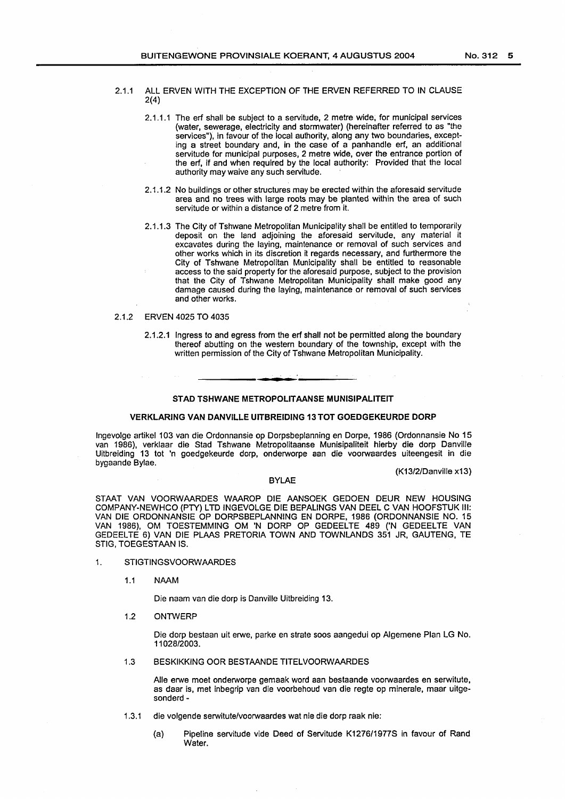- 2.1.1 ALL ERVEN WITH THE EXCEPTION OF THE ERVEN REFERRED TO IN CLAUSE 2(4)
	- 2.1.1.1 The erf shall be subject to a servitude, 2 metre wide, for municipal services (water, sewerage, electricity and stormwater) (hereinafter referred to as "the services"), in favour of the local authority, along any two boundaries, excepting a street boundary and, in the case of a panhandle erf, an additional servitude for municipal purposes, 2 metre wide, over the entrance portion of the erf, if and when required by the local authority: Provided that the local authority may waive any such servitude.
	- 2.1.1.2 No buildings or other structures may be erected within the aforesaid servitude area and no trees with large roots may be planted within the area of such servitude or within a distance of 2 metre from it.
	- 2.1.1.3 The City of Tshwane Metropolitan Municipality shall be entitled to temporarily deposit on the land adjoining the aforesaid servitude, any material it excavates during the laying, maintenance or removal of such services and other works which in its discretion it regards necessary, and furthermore the City of Tshwane Metropolitan Municipality shall be entitled to reasonable access to the said property for the aforesaid purpose, subject to the provision that the City of Tshwane Metropolitan Municipality shall make good any damage caused during the laying, maintenance or removal of such services and other works.

# 2.1.2 ERVEN 4025 TO 4035

2.1.2.1 Ingress to and egress from the erf shall not be permitted along the boundary thereof abutting on the western boundary of the township, except with the written permission of the City of Tshwane Metropolitan Municipality.

#### STAD TSHWANE METROPOLITAANSE MUNISIPALITEIT

#### VERKLARING VAN DANVILLE UITBREIDING 13TOT GOEDGEKEURDE DORP

lngevolge artikel 103 van die Ordonnansie op Dorpsbeplanning en Dorpe, 1986 (Ordonnansie No 15 van 1986), verklaar die Stad Tshwane Metropolitaanse Munisipaliteit hierby die dorp Danville Uitbreiding 13 tot 'n goedgekeurde dorp, onderworpe aan die voorwaardes uiteengesit in die bygaande Bylae.

(K13/2/Danville x13)

#### BYLAE

STAAT VAN VOORWAARDES WAAROP DIE AANSOEK GEDOEN DEUR NEW HOUSING COMPANY-NEWHCO (PTY) L TO INGEVOLGE DIE BEPALINGS VAN DEEL C VAN HOOFSTUK Ill: VAN DIE ORDONNANSIE OP DORPSBEPLANNING EN DORPE, 1986 (ORDONNANSIE NO. 15 VAN 1986), OM TOESTEMMING OM 'N DORP OP GEDEELTE 489 ('N GEDEELTE VAN GEDEELTÉ 6) VAN DIE PLAAS PRETORIA TOWN AND TOWNLANDS 351 JR, GAUTENG, TE STIG, TOEGESTAAN IS.

- 1. STIGTINGSVOORWAARDES
	- 1.1 NAAM

Die naam van die dorp is Danville Uitbreiding 13.

1.2 ONTWERP

Die dorp bestaan uit erwe, parke en strate soos aangedui op Algemene Plan LG No. 11 028/2003.

1.3 BESKIKKING OOR BESTAANDE TITELVOORWAARDES

Aile erwe moet onderworpe gemaak word aan bestaande voorwaardes en serwitute, as daar is, met inbegrip van die voorbehoud van die regte op minerale, maar uitgesonderd-

- 1.3.1 die volgende serwitute/voorwaardes wat nie die dorp raak nie:
	- (a) Pipeline servitude vide Deed of Servitude K1276/1977S in favour of Rand Water.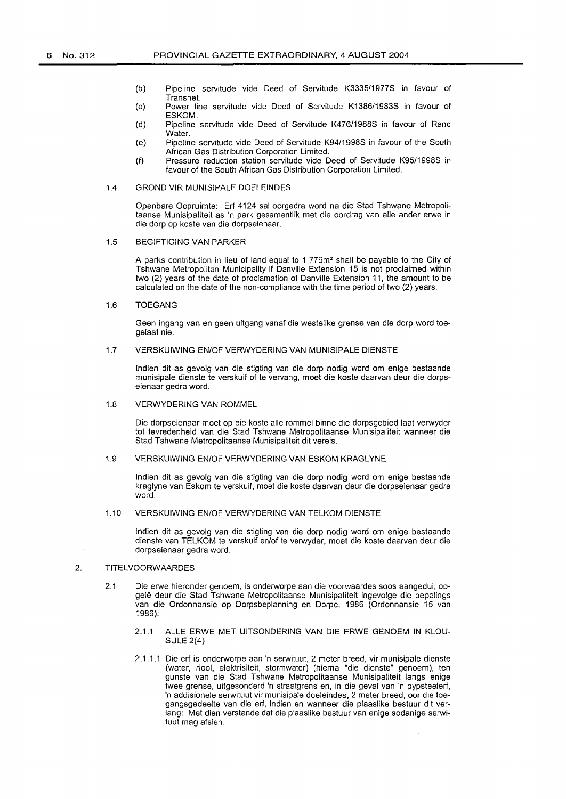- (b) Pipeline servitude vide Deed of Servitude K3335/1977S in favour of Transnet.
- (c) Power line servitude vide Deed of Servitude K1386/1983S in favour of ESKOM.
- (d) Pipeline servitude vide Deed of Servitude K476/1988S in favour of Rand **Water**
- (e) Pipeline servitude vide Deed of Servitude K94/1998S in favour of the South African Gas Distribution Corporation Limited.
- (f) Pressure reduction station servitude vide Deed of Servitude K95/1998S in favour of the South African Gas Distribution Corporation Limited.

#### 1.4 GROND VIR MUNISIPALE DOELEINDES

Openbare Oopruimte: Erf 4124 sal oorgedra word na die Stad Tshwane Metropolitaanse Munisipaliteit as 'n park gesamentlik met die oordrag van aile ander erwe in die dorp op koste van die dorpseienaar.

#### 1.5 BEGIFTIGING VAN PARKER

A parks contribution in lieu of land equal to 1 776m2 shall be payable to the City of Tshwane Metropolitan Municipality if Danville Extension 15 is not proclaimed within two (2) years of the date of proclamation of Danville Extension 11, the amount to be calculated on the date of the non-compliance with the time period of two (2) years.

# 1.6 TOEGANG

Geen ingang van en geen uitgang vanaf die westelike grense van die dorp word toegelaat nie.

# 1.7 VERSKUIWING EN/OF VERWYDERING VAN MUNISIPALE DIENSTE

lndien dit as gevolg van die stigting van die dorp nodig word om enige bestaande munisipale dienste te verskuif of te vervang, moet die koste daarvan deur die dorpseienaar gedra word.

#### 1.8 VERWYDERING VAN ROMMEL

Die dorpseienaar moet op eie koste alle rommel binne die dorpsgebied laat verwyder tot tevredenheid van die Stad Tshwane Metropolitaanse Munisipaliteit wanneer die Stad Tshwane Metropolitaanse Munisipaliteit dit vereis.

#### 1.9 VERSKUIWING EN/OF VERWYDERING VAN ESKOM KRAGLYNE

lndien dit as gevolg van die stigting van die dorp nodig word om enige bestaande kraglyne van Eskom te verskuif, moet die koste daarvan deur die dorpseienaar gedra word.

#### 1.10 VERSKUIWING EN/OF VERWYDERING VAN TELKOM DIENSTE

lndien dit as gevolg van die stigting van die dorp nodig word om enige bestaande dienste van TELKOM te verskuif en/of te verwyder, moet die koste daarvan deur die dorpseienaar gedra word.

# 2. TITELVOORWAARDES

- 2.1 Die erwe hieronder genoem, is onderworpe aan die voorwaardes soos aangedui, opgelê deur die Stad Tshwane Metropolitaanse Munisipaliteit ingevolge die bepalings van die Ordonnansie op Dorpsbeplanning en Dorpe, 1986 (Ordonnansie 15 van 1986):
	- 2.1.1 ALLE ERWE MET UITSONDERING VAN DIE ERWE GENOEM IN KLOU-SULE 2(4)
	- 2.1.1.1 Die erf is onderworpe aan 'n serwituut, 2 meter breed, vir munisipale dienste (water, riool, elektrisiteit, stormwater) (hierna "die dienste" genoem), ten gunste van die Stad Tshwane Metropolitaanse Munisipaliteit langs enige twee grense, uitgesonderd 'n straatgrens en, in die geval van 'n pypsteelerf, 'n addisionele serwituut vir munisipale doeleindes, 2 meter breed, oor die toegangsgedeelte van die erf, indien en wanneer die plaaslike bestuur dit verlang: Met dien verstande dat die plaaslike bestuur van enige sodanige serwituut mag afsien.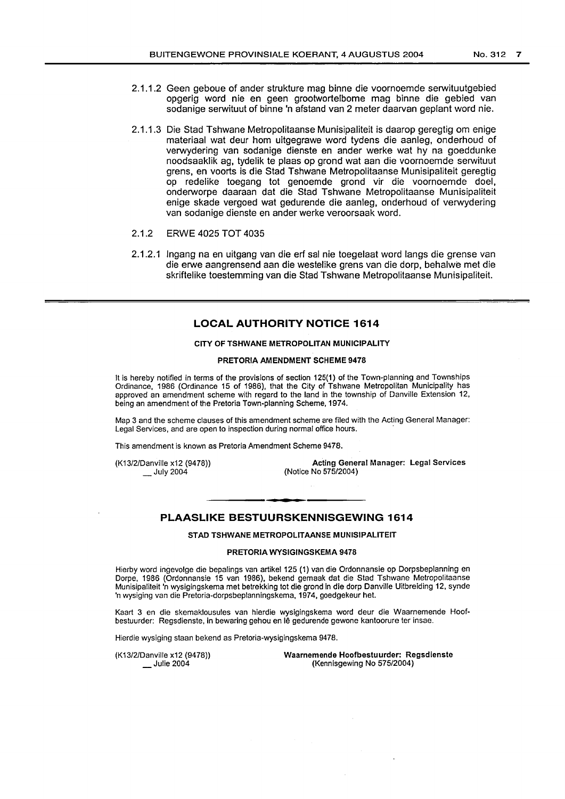- 2.1.1.2 Geen geboue of ander strukture mag binne die voornoemde serwituutgebied opgerig word nie en geen grootwortelbome mag binne die gebied van sodanige serwituut of binne 'n afstand van 2 meter daarvan geplant word nie.
- 2.1.1.3 Die Stad Tshwane Metropolitaanse Munisipaliteit is daarop geregtig om enige materiaal wat deur hom uitgegrawe word tydens die aanleg, onderhoud of verwydering van sodanige dienste en ander werke wat hy na goeddunke noodsaaklik ag, tydelik te plaas op grond wat aan die voornoemde serwituut grens, en voorts is die Stad Tshwane Metropolitaanse Munisipaliteit geregtig op redelike toegang tot genoemde grond vir die voornoemde doel, onderworpe daaraan dat die Stad Tshwane Metropolitaanse Munisipaliteit enige skade vergoed wat gedurende die aanleg, onderhoud of verwydering van sodanige dienste en ander werke veroorsaak word.
- 2.1.2 ERWE 4025 TOT 4035
- 2.1.2.1 lngang na en uitgang van die erf sal nie toegelaat word langs die grense van die erwe aangrensend aan die westelike grens van die dorp, behalwe met die skriftelike toestemming van die Stad Tshwane Metropolitaanse Munisipaliteit.

# **LOCAL AUTHORITY NOTICE 1614**

#### CITY OF TSHWANE METROPOLITAN MUNICIPALITY

# PRETORIA AMENDMENT SCHEME 9478

It is hereby notified in terms of the provisions of section 125(1) of the Town-planning and Townships Ordinance, 1986 (Ordinance 15 of 1986), that the City of Tshwane Metropolitan Municipality has approved an amendment scheme with regard to the land in the township of Danville Extension 12, being an amendment of the Pretoria Town-planning Scheme, 1974.

Map 3 and the scheme clauses of this amendment scheme are filed with the Acting General Manager: Legal Services, and are open to inspection during normal office hours.

This amendment is known as Pretoria Amendment Scheme 9478.

(K13/2/Danville x12 (9478))  $\_$  July 2004

Acting General Manager: Legal Services (Notice No 575/2004)

# **PLAASLIKE BESTUURSKENNISGEWING 1614**

STAD TSHWANE METROPOLITAANSE MUNISIPALITEIT

#### PRETORIA WYSIGINGSKEMA 9478

Hierby word ingevolge die bepalings van artikel 125 (1) van die Ordonnansie op Dorpsbeplanning en Dorpe, 1986 (Ordonnansie 15 van 1986), bekend gemaak dat die Stad Tshwane Metropolitaanse Munisipaliteit 'n wysigingskema met betrekking tot die grand in die dorp Danville Uitbreiding 12, synde 'n wysiging van die Pretoria-dorpsbeplanningskema, 1974, goedgekeur het.

Kaart 3 en die skemaklousules van hierdie wysigingskema word deur die Waarnemende Hoofbestuurder: Regsdienste, in bewaring gehou en le gedurende gewone kantoorure ter insae.

Hierdie wysiging staan bekend as Pretoria-wysigingskema 9478.

(K13/2/Danville x12 (9478)) Julie 2004

Waarnemende Hoofbestuurder: Regsdienste (Kennisgewing No 575/2004)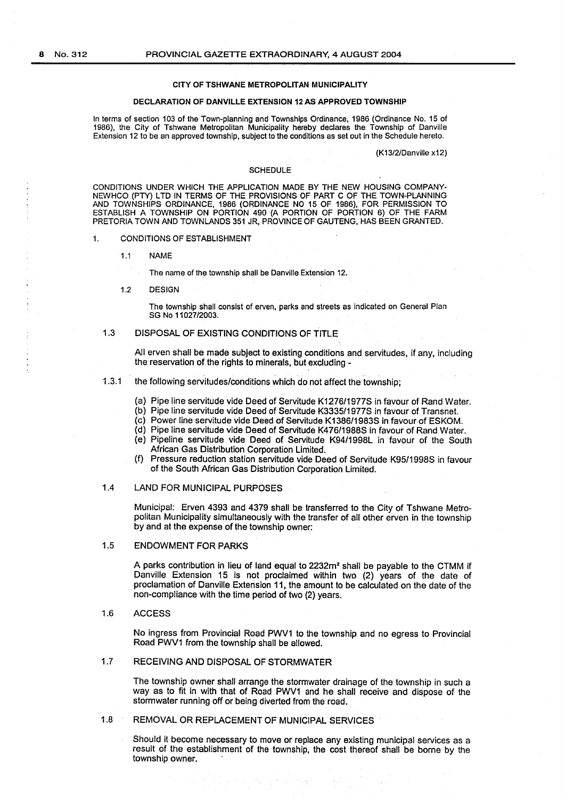#### CITY OF TSHWANE METROPOLITAN MUNICIPALITY

#### DECLARATION OF DANVILLE EXTENSION 12 AS APPROVED TOWNSHIP

In terms of section 103 of the Town-planning and Townships Ordinance, 1986 (Ordinance No. 15 of 1986), the City of Tshwane Metropolitan Municipality hereby declares the Township of Danville Extension 12 to be an approved township, subject to the conditions as set out in the Schedule hereto.

(K13/2/Danville x12)

#### **SCHEDULE**

CONDITIONS UNDER WHICH THE APPLICATION MADE BY THE NEW HOUSING COMPANY-NEWHCO (PTY) L TO IN TERMS OF THE PROVISIONS OF PART C OF THE TOWN-PLANNING AND TOWNSHIPS ORDINANCE, 1986 (ORDINANCE NO 15 OF 1986), FOR PERMISSION TO ESTABLISH A TOWNSHIP ON PORTION 490 (A PORTION OF PORTION 6) OF THE FARM PRETORIA TOWN AND TOWNLANDS 351 JR, PROVINCE OF GAUTENG, HAS BEEN GRANTED.

- 1. CONDITIONS OF ESTABLISHMENT
	- 1.1 NAME

The name of the township shall be Danville Extension 12.

1.2 DESIGN

The township shall consist of erven, parks and streets as indicated on General Plan SG No 11027/2003.

1.3 DISPOSAL OF EXISTING CONDITIONS OF TITLE

All erven shall be made subject to existing conditions and servitudes, if any, including the reservation of the rights to minerals, but excluding -

- 1.3.1 the following servitudes/conditions which do not affect the township;
	- (a) Pipe line servitude vide Deed of Servitude K1276/1977S in favour of Rand Water.
	- (b) Pipe line servitude vide Deed of Servitude K3335/1977S in favour of Transnet.
	- (c) Power line servitude vide Deed of Servitude K1386/1983S in favour of ESKOM.
	- (d) Pipe line servitude vide Deed of Servitude K476/1988S in favour of Rand Water.
	- (e) Pipeline servitude vide Deed of Servitude K94/1998L in favour of the South African Gas Distribution Corporation Limited.
	- (f) Pressure reduction station servitude vide Deed of Servitude K95/1998S in favour of the South African Gas Distribution Corporation Limited.

### 1.4 LAND FOR MUNICIPAL PURPOSES

Municipal: Erven 4393 and 4379 shall be transferred to the City of Tshwane Metropolitan Municipality simultaneously with the transfer of all other erven in the township by and at the expense of the township owner:

# 1.5 ENDOWMENT FOR PARKS

A parks contribution in lieu of land equal to 2232m2 shall be payable to the CTMM if Danville Extension 15 is not proclaimed within two (2) years of the date of proclamation of Danville Extension 11, the amount to be calculated on the date of the non-compliance with the time period of two (2) years.

#### 1.6 ACCESS

No ingress from Provincial Road PWV1 to the township and no egress to Provincial Road PWV1 from the township shall be allowed.

# 1.7 RECEIVING AND DISPOSAL OF STORMWATER

The township owner shall arrange the stormwater drainage of the township in such a way as to fit in with that of Road PWV1 and he shall receive and dispose of the stormwater running off or being diverted from the road.

1.8 REMOVAL OR REPLACEMENT OF MUNICIPAL SERVICES

Should it become necessary to move or replace any existing municipal services as a result of the establishment of the township, the cost thereof shall be borne by the township owner.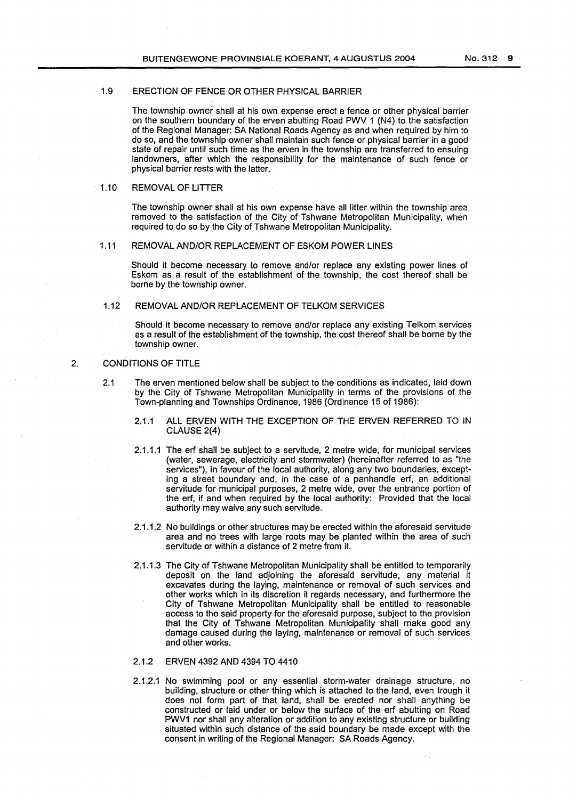# 1.9 ERECTION OF FENCE OR OTHER PHYSICAL BARRIER

The township owner shall at his own expense erect a fence or other physical barrier on the southern boundary of the erven abutting Road PWV 1 (N4) to the satisfaction of the Regional Manager: SA National Roads Agency as and when required by him to do so, and the township owner shall maintain such fence or physical barrier in a good state of repair until such time as the erven in the township are transferred to ensuing landowners, after which the responsibility for the maintenance of such fence or physical barrier rests with the latter.

# 1.10 REMOVAL OF LITTER

The township owner shall at his own expense have all litter within the township area removed to the satisfaction of the City of Tshwane Metropolitan Municipality, when required to do so by the City of Tshwane Metropolitan Municipality.

#### 1.11 REMOVAL AND/OR REPLACEMENT OF ESKOM POWER LINES

Should it become necessary to remove and/or replace any existing power lines of Eskom as a result of the establishment of the township, the cost thereof shall be borne by the township owner.

# 1.12 REMOVAL AND/OR REPLACEMENT OF TELKOM SERVICES

Should it become necessary to remove and/or replace any existing Telkom services as a result of the establishment of the township, the cost thereof shall be borne by the township owner.

# 2. CONDITIONS OF TITLE

- 2.1 The erven mentioned below shall be subject to the conditions as indicated, laid down by the City of Tshwane Metropolitan Municipality in terms of the provisions of the Town-planning and Townships Ordinance, 1986 (Ordinance 15 of 1986):
	- 2.1.1 ALL ERVEN WITH THE EXCEPTION OF THE ERVEN REFERRED TO IN CLAUSE 2(4)
	- 2.1.1.1 The erf shall be subject to a servitude, 2 metre wide, for municipal services (water, sewerage, electricity and stormwater) (hereinafter referred to as "the services"), in favour of the local authority, along any two boundaries, excepting a street boundary and, in the case of a panhandle erf, an additional servitude for municipal purposes, 2 metre wide, over the entrance portion of the erf, if and when required by the local authority: Provided that the local authority may waive any such servitude.
	- 2.1.1.2 No buildings or other structures may be erected within the aforesaid servitude area and no trees with large roots may be planted within the area of such servitude or within a distance of 2 metre from it.
	- 2.1.1.3 The City of Tshwane Metropolitan Municipality shall be entitled to temporarily deposit on the land adjoining the aforesaid servitude, any material it excavates during the laying, maintenance or removal of such services and other works which in its discretion it regards necessary, and furthermore the City of Tshwane Metropolitan Municipality shall be entitled to reasonable access to the said property for the aforesaid purpose, subject to the provision that the City of Tshwane Metropolitan Municipality shall make good any damage caused during the laying, maintenance or removal of such services and other works.

# 2.1.2 ERVEN 4392 AND 4394 TO 4410

2.1.2.1 No swimming pool or any essential storm-water drainage structure, no building, structure or other thing which is attached to the land, even trough it does not form part of that land, shall be erected nor shall anything be constructed or laid under or below the surface of the erf abutting on Road PWV1 nor shall any alteration or addition to any existing structure or building situated within such distance of the said boundary be made except with the consent in writing of the Regional Manager: SA Roads Agency.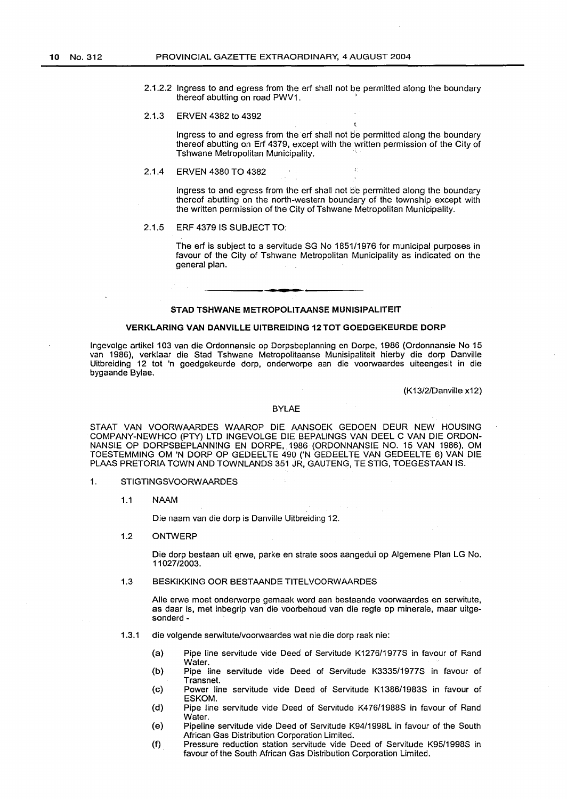2.1.2.2 Ingress to and egress from the erf shall not be permitted along the boundary thereof abutting on road PWV1.

#### 2.1.3 ERVEN 4382 to 4392

Ingress to and egress from the erf shall not be permitted along the boundary thereof abutting on Erf 4379, except with the written permission of the City of Tshwane Metropolitan Municipality.

# 2.1.4 ERVEN 4380 TO 4382

Ingress to and egress from the erf shall not be permitted along the boundary thereof abutting on the north-western boundary of the township except with the written permission of the City of Tshwane Metropolitan Municipality.

# 2.1.5 ERF 4379 IS SUBJECT TO:

The erf is subject to a servitude SG No 1851/1976 for municipal purposes in favour of the City of Tshwane Metropolitan Municipality as indicated on the general plan.

# STAD TSHWANE METROPOLITAANSE MUNISIPALITEIT

#### VERKLARING VAN DANVILLE UITBREIDING 12 TOT GOEDGEKEURDE DORP

lngevolge artikel 103 van die Ordonnansie op Dorpsbeplanning en Dorpe, 1986 (Ordonnansie No 15 van 1986}, verklaar die Stad Tshwane Metropolitaanse Munisipaliteit hierby die dorp Danville Uitbreiding 12 tot 'n goedgekeurde dorp, onderworpe aan die voorwaardes uiteengesit in die bygaande Bylae.

(K13/2/Danville x12)

#### BYLAE

STAAT VAN VOORWAARDES WAAROP DIE AANSOEK GEDOEN DEUR NEW HOUSING COMPANY-NEWHCO (PTY) LTD INGEVOLGE DIE BEPALINGS VAN DEEL C VAN DIE ORDON-NANSIE OP DORPSBEPLANNING EN DORPE, 1986 (ORDONNANSIE NO. 15 VAN 1986), OM TOESTEMMING OM 'N DORP OP GEDEEL TE 490 ('N GEDEEL TE VAN GEDEEL TE 6) VAN DIE PLAAS PRETORIA TOWN AND TOWNLANDS 351 JR, GAUTENG, TE STIG, TOEGESTAAN IS.

- 1. STIGTINGSVOORWAARDES
	- 1.1 NAAM

Die naam van die dorp is Danville Uitbreiding 12.

1.2 ONTWERP

Die dorp bestaan uit erwe, parke en strate soos aangedui op Algemene Plan LG No. 11027/2003.

# 1.3 BESKIKKING OOR BESTAANDE TITELVOORWAARDES

Aile erwe meet onderworpe gemaak word aan bestaande voorwaardes en serwitute, as daar is, met inbegrip van die voorbehoud van die regte op minerale, maar uitgesonderd-

- 1.3.1 die volgende serwitute/voorwaardes wat nie die dorp raak nie:
	- (a) Pipe line servitude vide Deed of Servitude K1276/1977S in favour of Rand Water.
	- (b) Pipe line servitude vide Deed of Servitude K3335/1977S in favour of Transnet.
	- (c) Power line servitude vide Deed of Servitude K1386/1983S in favour of ESKOM.
	- (d) Pipe line servitude vide Deed of Servitude K476/1988S in favour of Rand Water.
	- (e) Pipeline servitude vide Deed of Servitude K94/1998L in favour of the South African Gas Distribution Corporation Limited.
	- (f) Pressure reduction station servitude vide Deed of Servitude K95/1998S in favour of the South African Gas Distribution Corporation Limited.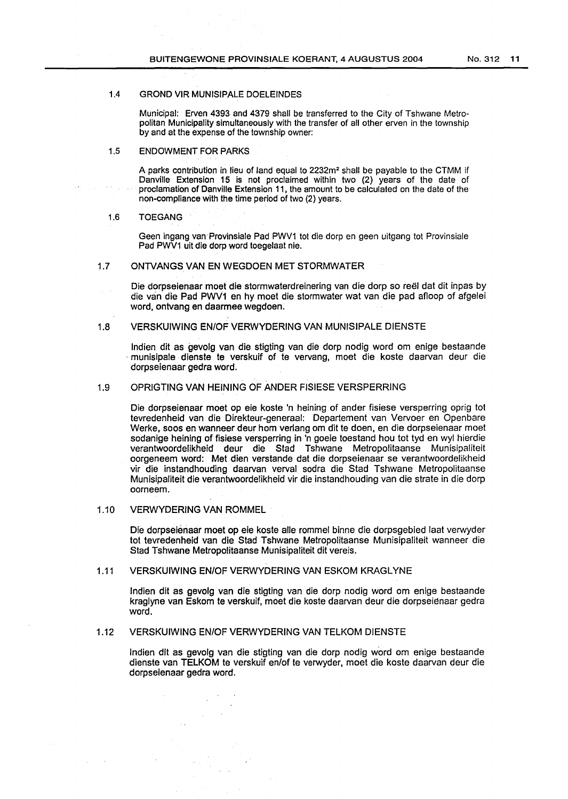# 1.4 GROND VIR MUNISIPALE DOELEINDES

Municipal: Erven 4393 and 4379 shall be transferred to the City of Tshwane Metropolitan Municipality simultaneously with the transfer of all other erven in the township by and at the expense of the township owner:

### 1.5 ENDOWMENT FOR PARKS

A parks contribution in lieu of land equal to 2232m2 shall be payable to the CTMM if Danville Extension 15 is not proclaimed within two (2) years of the date of proclamation of Danville Extension 11, the amount to be calculated on the date of the non-compliance with the time period of two (2) years.

# 1.6 TOEGANG

Geen ingang van·Provinsiale Pad PWV1 tot die dorp en geen uitgang tot Provinsiale Pad PWV1 uit die dorp word toegelaat nie.

# 1.7 ONTVANGS VAN EN WEGDOEN MET STORMWATER

Die dorpseienaar moet die stormwaterdreinering van die dorp so reel dat dit inpas by die van die Pad PWV1 en hy moet die stormwater wat van die pad afloop of afgelei word, ontvang en daarmee wegdoen.

# 1.8 VERSKUIWING EN/OF VERWYDERING VAN MUNISIPALE DIENSTE

lndien dit as gevolg van die stigting van die dorp nodig word om enige bestaande munisipale dienste te verskuif of te vervang, moet die koste daarvan deur die dorpseienaar gedra word.

# 1.9 OPRIGTING VAN HEINING OF ANDER FISIESE VERSPERRING

Die dorpseienaar moet op eie koste 'n heining of ander fisiese versperring oprig tot tevredenheid van die Direkteur-generaal: Departement van Vervoer en Openbare Werke, soos en wanneer deur hom verlang om dit te doen, en die dorpseienaar moet sodanige heining of fisiese versperring in 'n goeie toestand hou tot tyd en wyl hierdie verantwoordelikheid deur die Stad Tshwane Metropolitaanse Munisipaliteit oorgeneem word: Met dien verstande dat die dorpseienaar se verantwoordelikheid vir die instandhouding daarvan verval sodra die Stad Tshwane Metropolitaanse Munisipaliteit die verantwoordelikheid vir die instandhouding van die strate in die dorp oorneem.

# 1.10 VERWYDERING VAN ROMMEL

Die dorpseienaar moet op eie koste aile rommel binne die dorpsgebied laat verwyder tot tevredenheid van die Stad Tshwane Metropolitaanse Munisipaliteit wanneer die Stad Tshwane Metropolitaanse Munisipaliteit dit vereis.

# 1.11 VERSKUIWING EN/OF VERWYDERING VAN ESKOM KRAGLYNE

lndien dlt as gevolg van die stigting van die dorp nodig word om enige bestaande kraglyne van Eskom te verskuif, moet die koste daarvan deur die dorpseienaar gedra word.

# 1.12 VERSKUIWING EN/OF VERWYDERING VAN TELKOM DIENSTE

lndien dlt as gevolg van die stigting van die dorp nodig word om enige bestaande dienste van TELKOM te verskuif en/of te verwyder, moet die koste daarvan deur die dorpselenaar gedra word.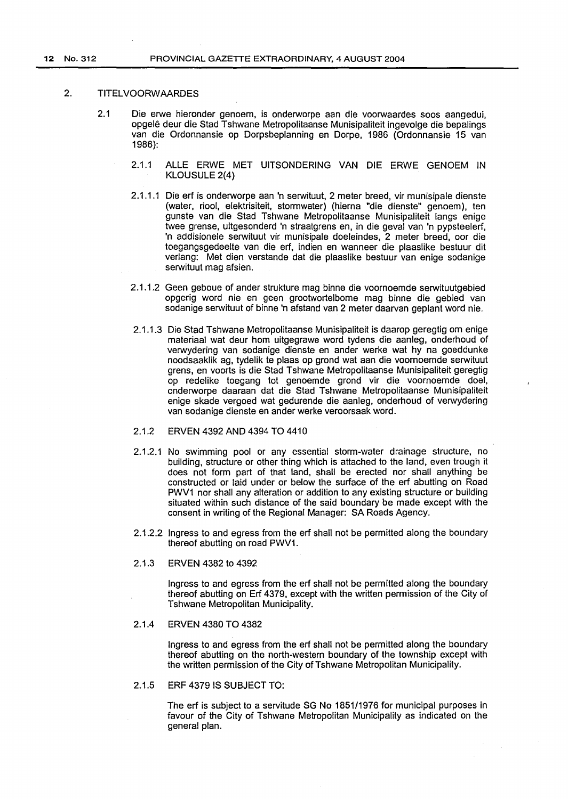# 2. TITELVOORWAARDES

- 2.1 Die erwe hieronder genoem, is onderworpe aan die voorwaardes soos aangedui, opgele deur die Stad Tshwane Metropolitaanse Munisipaliteit ingevolge die bepalings van die Ordonnansie op Dorpsbeplanning en Dorpe, 1986 (Ordonnansie 15 van 1986):
	- 2.1.1 ALLE ERWE MET UITSONDERING VAN DIE ERWE GENOEM IN KLOUSULE 2(4)
	- 2.1.1.1 Die erf is onderworpe aan 'n serwituut, 2 meter breed, vir munisipale dienste (water, riool, elektrisiteit, stormwater) (hierna "die dienste" genoem), ten gunste van die Stad Tshwane Metropolitaanse Munisipaliteit langs enige twee grense, uitgesonderd 'n straatgrens en, in die geval van 'n pypsteelerf, 'n addisionele serwituut vir munisipale doeleindes, 2 meter breed, oor die toegangsgedeelte van die erf, indien en wanneer die plaaslike bestuur dit verlang: Met dien verstande dat die plaaslike bestuur van enige sodanige serwituut mag afsien.
	- 2.1.1.2 Geen geboue of ander strukture mag binne die voornoemde serwituutgebied opgerig word nie en geen grootwortelbome mag binne die gebied van sodanige serwituut of binne 'n afstand van 2 meter daarvan geplant word nie.
	- 2.1.1.3 Die Stad Tshwane Metropolitaanse Munisipaliteit is daarop geregtig om enige materiaal wat deur hom uitgegrawe word tydens die aanleg, onderhoud of verwydering van sodanige dienste en ander werke wat hy na goeddunke noodsaaklik ag, tydelik te plaas op grond wat aan die voornoemde serwituut grens, en voorts is die Stad Tshwane Metropolitaanse Munisipaliteit geregtig op redelike toegang tot genoemde grand vir die voornoemde doel, onderworpe daaraan dat die Stad Tshwane Metropolitaanse Munisipaliteit enige skade vergoed wat gedurende die aanleg, onderhoud of verwydering van sodanige dienste en ander werke veroorsaak word.
	- 2.1.2 ERVEN 4392 AND 4394 TO 4410
	- 2.1.2.1 No swimming pool or any essential storm-water drainage structure, no building, structure or other thing which is attached to the land, even trough it does not form part of that land, shall be erected nor shall anything be constructed or laid under or below the surface of the erf abutting on Road PWV1 nor shall any alteration or addition to any existing structure or building situated within such distance of the said boundary be made except with the consent in writing of the Regional Manager: SA Roads Agency.
	- 2.1.2.2 Ingress to and egress from the erf shall not be permitted along the boundary thereof abutting on road PWV1.
	- 2.1.3 ERVEN 4382 to 4392

Ingress to and egress from the erf shall not be permitted along the boundary thereof abutting on Erf 4379, except with the written permission of the City of Tshwane Metropolitan Municipality.

# 2.1.4 ERVEN 4380 TO 4382

Ingress to and egress from the erf shall not be permitted along the boundary thereof abutting on the north-western boundary of the township except with the written permission of the City of Tshwane Metropolitan Municipality.

2.1.5 ERF 4379 IS SUBJECT TO:

The erf is subject to a servitude SG No 1851/1976 for municipal purposes in favour of the City of Tshwane Metropolitan Municipality as indicated on the general plan.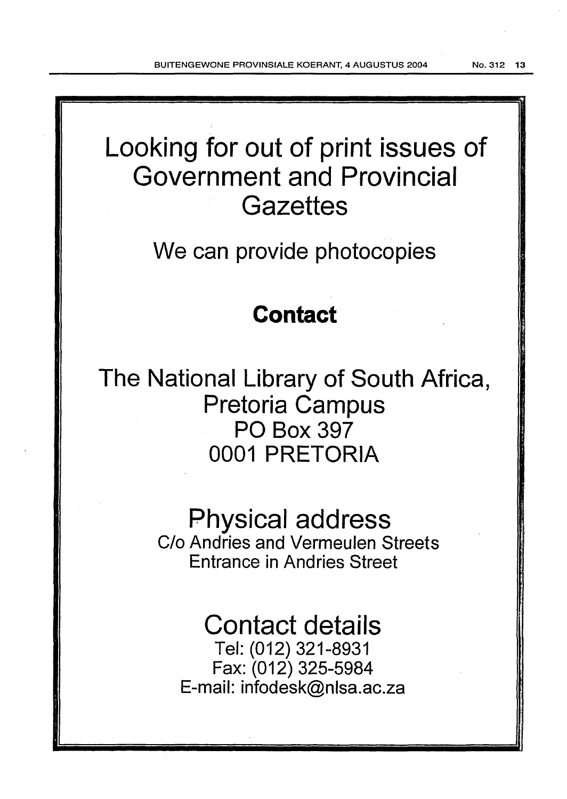# Looking for out of print issues of Government and Provincial **Gazettes** We can provide photocopies **Contact**  The National Library of South Africa, Pretoria Campus PO Box 397 0001 PRETORIA Physical address C/o Andries and Vermeulen Streets Entrance in Andries Street Contact details

Tel: (012) 321-8931 Fax: (012) 325-5984 E-mail: infodesk@nlsa.ac.za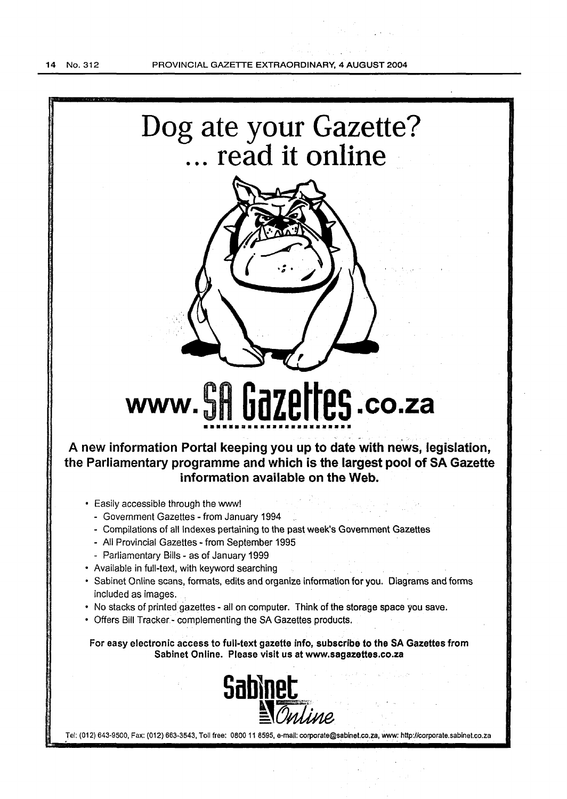



# www. SR **Gazettes** .co.za ••••••••••••••••••••••••

A new information Portal keeping you up to date with news, legislation, the Parliamentary programme and which is the largest pool of SA Gazette information available on the Web.

- Easily accessible through the www!
	- Government Gazettes from January 1994
	- Compilations of all Indexes pertaining to the past week's Government Gazettes
	- All Provincial Gazettes- from September 1995
	- Parliamentary Bills as of January 1999
- Available in full-text, with keyword searching
- Sabinet Online scans, formats, edits and organize information for you. Diagrams and forms included as images.
- No stacks of printed gazettes all on computer. Think of the storage space you save.
- Offers Bill Tracker- complementing the SA Gazettes products.

For easy electronic access to full-text gazette info, subscribe to the SA Gazettes from Sabinet Online. Please visit us at www.sagazettes.co.za



Tel: (012) 643·9500, Fax: (012) 663-3543, Toll free: 0800 11 8595, e-mail: corporate@sabinet.co.za, *Ylww:* http://corporate.sabinet.co.za . .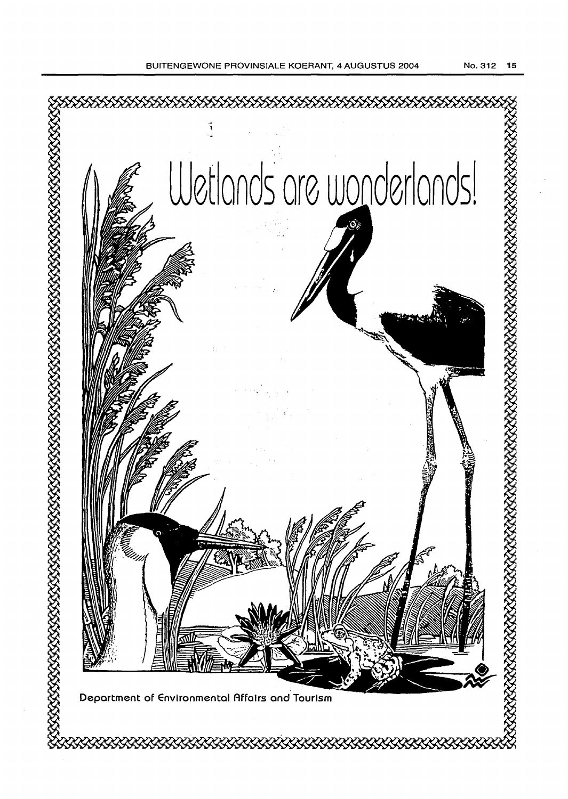